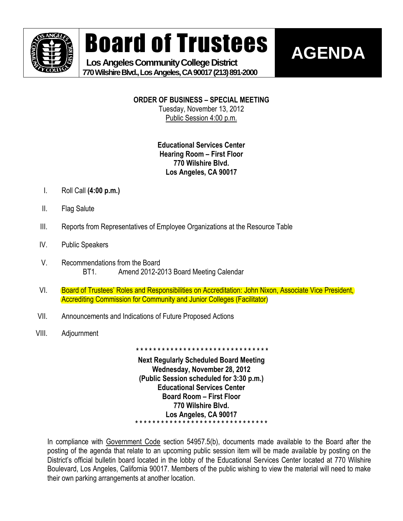

# Board of Trustees

**AGENDA**

 **Los Angeles Community College District 770 Wilshire Blvd., Los Angeles, CA 90017 (213) 891-2000**

**ORDER OF BUSINESS – SPECIAL MEETING**

Tuesday, November 13, 2012 Public Session 4:00 p.m.

### **Educational Services Center Hearing Room – First Floor 770 Wilshire Blvd. Los Angeles, CA 90017**

- I. Roll Call **(4:00 p.m.)**
- II. Flag Salute
- III. Reports from Representatives of Employee Organizations at the Resource Table
- IV. Public Speakers
- V. Recommendations from the Board BT1. Amend 2012-2013 Board Meeting Calendar
- VI. Board of Trustees' Roles and Responsibilities on Accreditation: John Nixon, Associate Vice President, Accrediting Commission for Community and Junior Colleges (Facilitator)
- VII. Announcements and Indications of Future Proposed Actions
- VIII. Adjournment

**Next Regularly Scheduled Board Meeting Wednesday, November 28, 2012 (Public Session scheduled for 3:30 p.m.) Educational Services Center Board Room – First Floor 770 Wilshire Blvd. Los Angeles, CA 90017 \* \* \* \* \* \* \* \* \* \* \* \* \* \* \* \* \* \* \* \* \* \* \* \* \* \* \* \* \* \* \***

**\* \* \* \* \* \* \* \* \* \* \* \* \* \* \* \* \* \* \* \* \* \* \* \* \* \* \* \* \* \* \***

In compliance with Government Code section 54957.5(b), documents made available to the Board after the posting of the agenda that relate to an upcoming public session item will be made available by posting on the District's official bulletin board located in the lobby of the Educational Services Center located at 770 Wilshire Boulevard, Los Angeles, California 90017. Members of the public wishing to view the material will need to make their own parking arrangements at another location.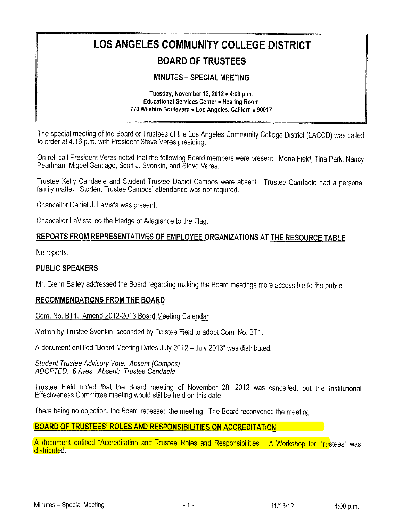## LOS ANGELES COMMUNITY COLLEGE DISTRICT BOARD OF TRUSTEES

#### **MINUTES - SPECIAL MEETING**

#### Tuesday, November 13,  $2012 - 4:00$  p.m. Educational Services Center . Hearing Room 770 Wilshire Boulevard . Los Angeles, California 90017

The special meeting of the Board of Trustees of the Los Angeies Community Coilege District (LACCD) was called to order at 4:16 p.m. with President Steve Veres presiding.

On roll call President Veres noted that the following Board members were present: Mona Field, Tina Park, Nancy Peariman, Miguel Santiago, Scott J, Svonkin, and Steve Veres.

Trustee Kelly Candaele and Student Trustee Daniel Campos were absent. Trustee Candaele had a personal family matter. Student Trustee Campos' attendance was not required.

Chanceilor Daniel J. LaVista was present.

Chancellor LaVista led the Pledge of Allegiance to the Flag.

#### REPORTS FROM REPRESENTATIVES OF EMPLOYEE ORGANIZATIONS AT THE RESOURCE TABLE

No reports.

#### PUBLIC SPEAKERS

Mr. Glenn Bailey addressed the Board regarding making the Board meetings more accessible to the public.

#### RECOMMENDATIONS FROM THE BOARD

Com. No. BT1. Amend 2012-2013 Board Meeting Calendar

Motion by Trustee Svonkin; seconded by Trustee Field to adopt Com. No. BT1.

A document entitled "Board Meeting Dates July 2012 - July 2013" was distributed.

Student Trustee Advisory Vote: Absent (Campos) ADOPTED: 6 Ayes Absent: Trustee Candaele

Trustee Field noted that the Board meeting of November 28, 2012 was cancelled, but the Institutional Effectiveness Committee meeting would stiii be heid on this date.

There being no objection, the Board recessed the meeting. The Board reconvened the meeting.

#### BOARD OF TRUSTEES' ROLES AND RESPONSIBILITIES ON ACCREDITATION AND RESPONSIBILITIES

A document entitled "Accreditation and Trustee Roles and Responsibilities - A Workshop for Trustees" was distributed.